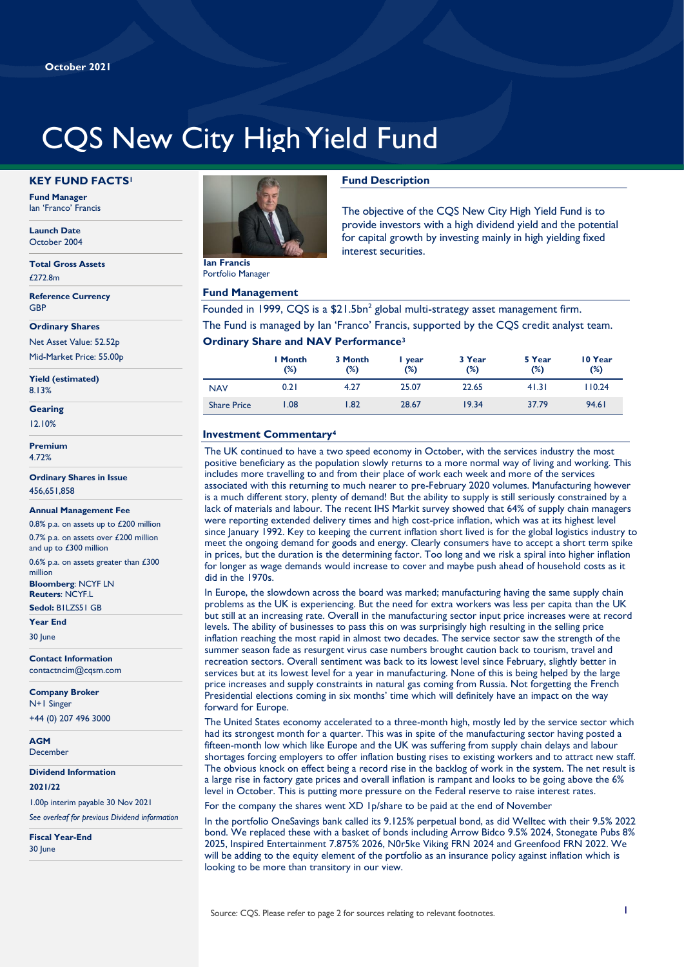# CQS New City High Yield Fund

#### **KEY FUND FACTS<sup>1</sup>**

**Fund Manager** Ian 'Franco' Francis

#### **Launch Date** October 2004

**Total Gross Assets** £272.8m

**Reference Currency GRP** 

#### **Ordinary Shares**

Net Asset Value: 52.52p Mid-Market Price: 55.00p

**Yield (estimated)** 8.13%

**Gearing**

12.10%

**Premium** 4.72%

**Ordinary Shares in Issue** 456,651,858

#### **Annual Management Fee**

0.8% p.a. on assets up to £200 million 0.7% p.a. on assets over £200 million and up to £300 million

0.6% p.a. on assets greater than £300 million

**Bloomberg**: NCYF LN **Reuters**: NCYF.L

**Sedol:** B1LZS51 GB

**Year End**

30 June

**Contact Information** contactncim@cqsm.com

**Company Broker** N+1 Singer +44 (0) 207 496 3000

**AGM December** 

**Dividend Information**

#### **2021/22**

1.00p interim payable 30 Nov 2021 *See overleaf for previous Dividend information*

**Fiscal Year-End** 30 June



Portfolio Manager

#### **Fund Management**

## **Fund Description**

The objective of the CQS New City High Yield Fund is to provide investors with a high dividend yield and the potential for capital growth by investing mainly in high yielding fixed interest securities.

Founded in 1999, CQS is a  $$21.5bn<sup>2</sup>$  global multi-strategy asset management firm. The Fund is managed by Ian 'Franco' Francis, supported by the CQS credit analyst team.

#### **Ordinary Share and NAV Performance<sup>3</sup>**

|                    | I Month<br>(%) | 3 Month<br>(%) | i year<br>(%) | 3 Year<br>(%) | 5 Year<br>(%) | 10 Year<br>(%) |
|--------------------|----------------|----------------|---------------|---------------|---------------|----------------|
| <b>NAV</b>         | 0.21           | 4.27           | 25.07         | 22.65         | 41.31         | 110.24         |
| <b>Share Price</b> | .08            | .82            | 28.67         | 19.34         | 37.79         | 94.61          |

#### **Investment Commentary<sup>4</sup>**

The UK continued to have a two speed economy in October, with the services industry the most positive beneficiary as the population slowly returns to a more normal way of living and working. This includes more travelling to and from their place of work each week and more of the services associated with this returning to much nearer to pre-February 2020 volumes. Manufacturing however is a much different story, plenty of demand! But the ability to supply is still seriously constrained by a lack of materials and labour. The recent IHS Markit survey showed that 64% of supply chain managers were reporting extended delivery times and high cost-price inflation, which was at its highest level since January 1992. Key to keeping the current inflation short lived is for the global logistics industry to meet the ongoing demand for goods and energy. Clearly consumers have to accept a short term spike in prices, but the duration is the determining factor. Too long and we risk a spiral into higher inflation for longer as wage demands would increase to cover and maybe push ahead of household costs as it did in the 1970s.

In Europe, the slowdown across the board was marked; manufacturing having the same supply chain problems as the UK is experiencing. But the need for extra workers was less per capita than the UK but still at an increasing rate. Overall in the manufacturing sector input price increases were at record levels. The ability of businesses to pass this on was surprisingly high resulting in the selling price inflation reaching the most rapid in almost two decades. The service sector saw the strength of the summer season fade as resurgent virus case numbers brought caution back to tourism, travel and recreation sectors. Overall sentiment was back to its lowest level since February, slightly better in services but at its lowest level for a year in manufacturing. None of this is being helped by the large price increases and supply constraints in natural gas coming from Russia. Not forgetting the French Presidential elections coming in six months' time which will definitely have an impact on the way forward for Europe.

The United States economy accelerated to a three-month high, mostly led by the service sector which had its strongest month for a quarter. This was in spite of the manufacturing sector having posted a fifteen-month low which like Europe and the UK was suffering from supply chain delays and labour shortages forcing employers to offer inflation busting rises to existing workers and to attract new staff. The obvious knock on effect being a record rise in the backlog of work in the system. The net result is a large rise in factory gate prices and overall inflation is rampant and looks to be going above the 6% level in October. This is putting more pressure on the Federal reserve to raise interest rates.

For the company the shares went XD 1p/share to be paid at the end of November

In the portfolio OneSavings bank called its 9.125% perpetual bond, as did Welltec with their 9.5% 2022 bond. We replaced these with a basket of bonds including Arrow Bidco 9.5% 2024, Stonegate Pubs 8% 2025, Inspired Entertainment 7.875% 2026, N0r5ke Viking FRN 2024 and Greenfood FRN 2022. We will be adding to the equity element of the portfolio as an insurance policy against inflation which is looking to be more than transitory in our view.

1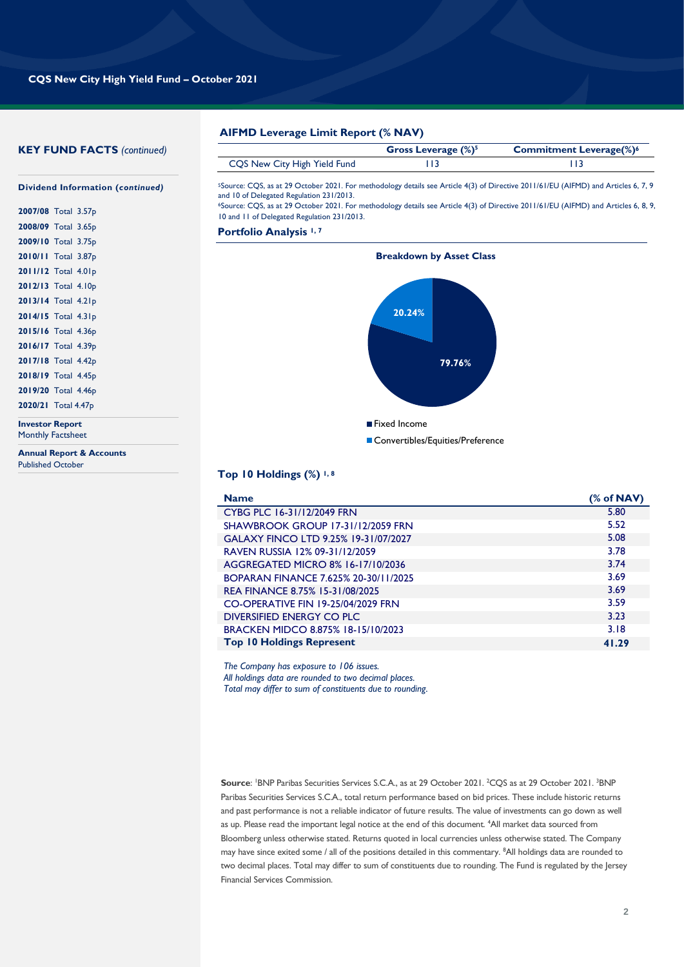### **KEY FUND FACTS** *(continued)*

| <b>AIFMD Leverage Limit Report (% NAV)</b> |  |  |
|--------------------------------------------|--|--|
|                                            |  |  |

|                              | Gross Leverage $(\%)^5$ | <b>Commitment Leverage(%)<sup>6</sup></b> |
|------------------------------|-------------------------|-------------------------------------------|
| CQS New City High Yield Fund |                         |                                           |

<sup>5</sup>Source: CQS, as at 29 October 2021. For methodology details see Article 4(3) of Directive 2011/61/EU (AIFMD) and Articles 6, 7, 9 and 10 of Delegated Regulation 231/2013.

<sup>6</sup>Source: CQS, as at 29 October 2021. For methodology details see Article 4(3) of Directive 2011/61/EU (AIFMD) and Articles 6, 8, 9, 10 and 11 of Delegated Regulation 231/2013.

**Portfolio Analysis 1, 7**



#### **Top 10 Holdings (%) 1, 8**

| <b>Name</b>                          | (% of NAV) |
|--------------------------------------|------------|
| CYBG PLC 16-31/12/2049 FRN           | 5.80       |
| SHAWBROOK GROUP 17-31/12/2059 FRN    | 5.52       |
| GALAXY FINCO LTD 9.25% 19-31/07/2027 | 5.08       |
| RAVEN RUSSIA 12% 09-31/12/2059       | 3.78       |
| AGGREGATED MICRO 8% 16-17/10/2036    | 3.74       |
| BOPARAN FINANCE 7.625% 20-30/11/2025 | 3.69       |
| REA FINANCE 8.75% 15-31/08/2025      | 3.69       |
| CO-OPERATIVE FIN 19-25/04/2029 FRN   | 3.59       |
| DIVERSIFIED ENERGY CO PLC            | 3.23       |
| BRACKEN MIDCO 8.875% 18-15/10/2023   | 3.18       |
| <b>Top 10 Holdings Represent</b>     | 41.29      |

*The Company has exposure to 106 issues. All holdings data are rounded to two decimal places. Total may differ to sum of constituents due to rounding.*

Source: <sup>I</sup>BNP Paribas Securities Services S.C.A., as at 29 October 2021. <sup>2</sup>CQS as at 29 October 2021. <sup>3</sup>BNP Paribas Securities Services S.C.A., total return performance based on bid prices. These include historic returns and past performance is not a reliable indicator of future results. The value of investments can go down as well as up. Please read the important legal notice at the end of this document. <sup>4</sup>All market data sourced from Bloomberg unless otherwise stated. Returns quoted in local currencies unless otherwise stated. The Company may have since exited some / all of the positions detailed in this commentary. <sup>8</sup>All holdings data are rounded to two decimal places. Total may differ to sum of constituents due to rounding. The Fund is regulated by the Jersey Financial Services Commission.

**Dividend Information (***continued)*

| 2007/08 Total 3.57p |  |
|---------------------|--|
| 2008/09 Total 3.65p |  |
| 2009/10 Total 3.75p |  |
| 2010/11 Total 3.87p |  |
| 2011/12 Total 4.01p |  |
| 2012/13 Total 4.10p |  |
| 2013/14 Total 4.21p |  |
| 2014/15 Total 4.31p |  |
| 2015/16 Total 4.36p |  |
| 2016/17 Total 4.39p |  |
| 2017/18 Total 4.42p |  |
| 2018/19 Total 4.45p |  |
| 2019/20 Total 4.46p |  |
| 2020/21 Total 4.47p |  |
|                     |  |

**Investor Report** Monthly Factsheet

**Annual Report & Accounts** Published October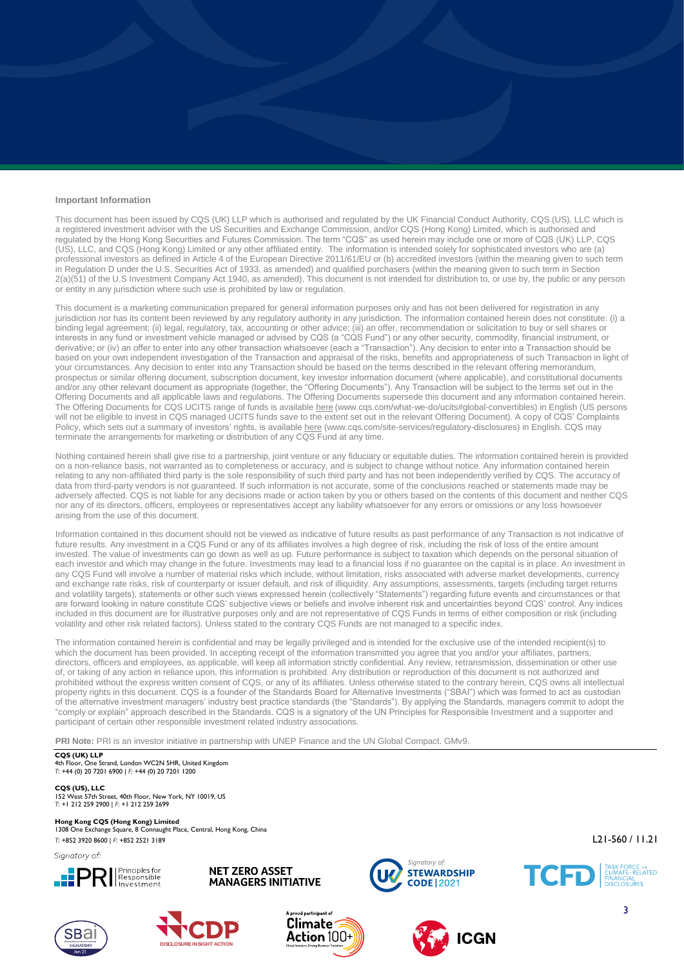#### **Important Information**

This document has been issued by CQS (UK) LLP which is authorised and regulated by the UK Financial Conduct Authority, CQS (US), LLC which is a registered investment adviser with the US Securities and Exchange Commission, and/or CQS (Hong Kong) Limited, which is authorised and regulated by the Hong Kong Securities and Futures Commission. The term "CQS" as used herein may include one or more of CQS (UK) LLP, CQS (US), LLC, and CQS (Hong Kong) Limited or any other affiliated entity. The information is intended solely for sophisticated investors who are (a) professional investors as defined in Article 4 of the European Directive 2011/61/EU or (b) accredited investors (within the meaning given to such term in Regulation D under the U.S. Securities Act of 1933, as amended) and qualified purchasers (within the meaning given to such term in Section 2(a)(51) of the U.S Investment Company Act 1940, as amended). This document is not intended for distribution to, or use by, the public or any person or entity in any jurisdiction where such use is prohibited by law or regulation.

This document is a marketing communication prepared for general information purposes only and has not been delivered for registration in any jurisdiction nor has its content been reviewed by any regulatory authority in any jurisdiction. The information contained herein does not constitute: (i) a binding legal agreement; (ii) legal, regulatory, tax, accounting or other advice; (iii) an offer, recommendation or solicitation to buy or sell shares or interests in any fund or investment vehicle managed or advised by CQS (a "CQS Fund") or any other security, commodity, financial instrument, or derivative; or (iv) an offer to enter into any other transaction whatsoever (each a "Transaction"). Any decision to enter into a Transaction should be based on your own independent investigation of the Transaction and appraisal of the risks, benefits and appropriateness of such Transaction in light of your circumstances. Any decision to enter into any Transaction should be based on the terms described in the relevant offering memorandum, prospectus or similar offering document, subscription document, key investor information document (where applicable), and constitutional documents and/or any other relevant document as appropriate (together, the "Offering Documents"). Any Transaction will be subject to the terms set out in the Offering Documents and all applicable laws and regulations. The Offering Documents supersede this document and any information contained herein. The Offering Documents for CQS UCITS range of funds is availabl[e here](https://www.cqs.com/what-we-do/ucits) (www.cqs.com/what-we-do/ucits#global-convertibles) in English (US persons will not be eligible to invest in CQS managed UCITS funds save to the extent set out in the relevant Offering Document). A copy of CQS' Complaints Policy, which sets out a summary of investors' rights, is availabl[e here](https://www.cqs.com/site-services/regulatory-disclosures) (www.cqs.com/site-services/regulatory-disclosures) in English. CQS may terminate the arrangements for marketing or distribution of any CQS Fund at any time.

Nothing contained herein shall give rise to a partnership, joint venture or any fiduciary or equitable duties. The information contained herein is provided on a non-reliance basis, not warranted as to completeness or accuracy, and is subject to change without notice. Any information contained herein relating to any non-affiliated third party is the sole responsibility of such third party and has not been independently verified by CQS. The accuracy of data from third-party vendors is not guaranteed. If such information is not accurate, some of the conclusions reached or statements made may be adversely affected. CQS is not liable for any decisions made or action taken by you or others based on the contents of this document and neither CQS nor any of its directors, officers, employees or representatives accept any liability whatsoever for any errors or omissions or any loss howsoever arising from the use of this document.

Information contained in this document should not be viewed as indicative of future results as past performance of any Transaction is not indicative of future results. Any investment in a CQS Fund or any of its affiliates involves a high degree of risk, including the risk of loss of the entire amount invested. The value of investments can go down as well as up. Future performance is subject to taxation which depends on the personal situation of each investor and which may change in the future. Investments may lead to a financial loss if no guarantee on the capital is in place. An investment in any CQS Fund will involve a number of material risks which include, without limitation, risks associated with adverse market developments, currency and exchange rate risks, risk of counterparty or issuer default, and risk of illiquidity. Any assumptions, assessments, targets (including target returns and volatility targets), statements or other such views expressed herein (collectively "Statements") regarding future events and circumstances or that are forward looking in nature constitute CQS' subjective views or beliefs and involve inherent risk and uncertainties beyond CQS' control. Any indices included in this document are for illustrative purposes only and are not representative of CQS Funds in terms of either composition or risk (including volatility and other risk related factors). Unless stated to the contrary CQS Funds are not managed to a specific index.

The information contained herein is confidential and may be legally privileged and is intended for the exclusive use of the intended recipient(s) to which the document has been provided. In accepting receipt of the information transmitted you agree that you and/or your affiliates, partners, directors, officers and employees, as applicable, will keep all information strictly confidential. Any review, retransmission, dissemination or other use of, or taking of any action in reliance upon, this information is prohibited. Any distribution or reproduction of this document is not authorized and prohibited without the express written consent of CQS, or any of its affiliates. Unless otherwise stated to the contrary herein, CQS owns all intellectual property rights in this document. CQS is a founder of the Standards Board for Alternative Investments ("SBAI") which was formed to act as custodian of the alternative investment managers' industry best practice standards (the "Standards"). By applying the Standards, managers commit to adopt the "comply or explain" approach described in the Standards. CQS is a signatory of the UN Principles for Responsible Investment and a supporter and participant of certain other responsible investment related industry associations.

**PRI Note:** PRI is an investor initiative in partnership with UNEP Finance and the UN Global Compact. GMv9.

#### **CQS (UK) LLP** 4th Floor, One Strand, London WC2N 5HR, United Kingdom *T*: +44 (0) 20 7201 6900 | *F*: +44 (0) 20 7201 1200

**CQS (US), LLC** 152 West 57th Street, 40th Floor, New York, NY 10019, US *T*: +1 212 259 2900 | *F*: +1 212 259 2699

**Hong Kong CQS (Hong Kong) Limited** 1308 One Exchange Square, 8 Connaught Place, Central, Hong Kong, China *<sup>T</sup>*: +852 3920 8600 | *F*: +852 2521 3189 L21-560 / 11.21

Signatory of







**DISCLOSURE INSIGHT ACTION**





**ICGN**